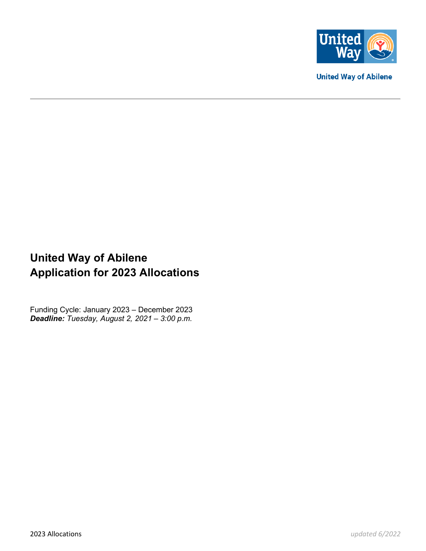

**United Way of Abilene** 

# **United Way of Abilene Application for 2023 Allocations**

Funding Cycle: January 2023 – December 2023 *Deadline: Tuesday, August 2, 2021 – 3:00 p.m.*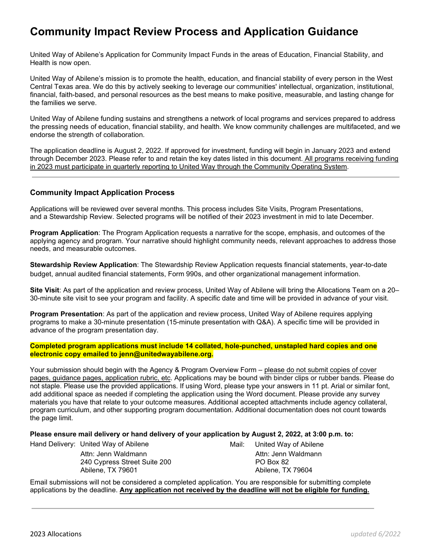# **Community Impact Review Process and Application Guidance**

United Way of Abilene's Application for Community Impact Funds in the areas of Education, Financial Stability, and Health is now open.

United Way of Abilene's mission is to promote the health, education, and financial stability of every person in the West Central Texas area. We do this by actively seeking to leverage our communities' intellectual, organization, institutional, financial, faith-based, and personal resources as the best means to make positive, measurable, and lasting change for the families we serve.

United Way of Abilene funding sustains and strengthens a network of local programs and services prepared to address the pressing needs of education, financial stability, and health. We know community challenges are multifaceted, and we endorse the strength of collaboration.

The application deadline is August 2, 2022. If approved for investment, funding will begin in January 2023 and extend through December 2023. Please refer to and retain the key dates listed in this document. All programs receiving funding in 2023 must participate in quarterly reporting to United Way through the Community Operating System.

#### **Community Impact Application Process**

Applications will be reviewed over several months. This process includes Site Visits, Program Presentations, and a Stewardship Review. Selected programs will be notified of their 2023 investment in mid to late December.

**Program Application**: The Program Application requests a narrative for the scope, emphasis, and outcomes of the applying agency and program. Your narrative should highlight community needs, relevant approaches to address those needs, and measurable outcomes.

**Stewardship Review Application**: The Stewardship Review Application requests financial statements, year-to-date budget, annual audited financial statements, Form 990s, and other organizational management information.

**Site Visit**: As part of the application and review process, United Way of Abilene will bring the Allocations Team on a 20– 30-minute site visit to see your program and facility. A specific date and time will be provided in advance of your visit.

**Program Presentation**: As part of the application and review process, United Way of Abilene requires applying programs to make a 30-minute presentation (15-minute presentation with Q&A). A specific time will be provided in advance of the program presentation day.

**Completed program applications must include 14 collated, hole-punched, unstapled hard copies and one electronic copy emailed to jenn@unitedwayabilene.org.** 

Your submission should begin with the Agency & Program Overview Form - please do not submit copies of cover pages, guidance pages, application rubric, etc. Applications may be bound with binder clips or rubber bands. Please do not staple. Please use the provided applications. If using Word, please type your answers in 11 pt. Arial or similar font, add additional space as needed if completing the application using the Word document. Please provide any survey materials you have that relate to your outcome measures. Additional accepted attachments include agency collateral, program curriculum, and other supporting program documentation. Additional documentation does not count towards the page limit.

**Please ensure mail delivery or hand delivery of your application by August 2, 2022, at 3:00 p.m. to:** 

Hand Delivery: United Way of Abilene Manuscull Mail: United Way of Abilene

Attn: Jenn Waldmann **Attn: Jenn Waldmann** 240 Cypress Street Suite 200 PO Box 82<br>Abilene, TX 79601 Abilene, TX

Abilene, TX 79604

Email submissions will not be considered a completed application. You are responsible for submitting complete applications by the deadline. **Any application not received by the deadline will not be eligible for funding.**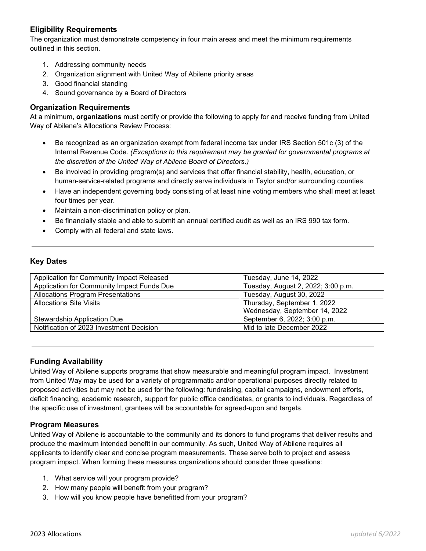### **Eligibility Requirements**

The organization must demonstrate competency in four main areas and meet the minimum requirements outlined in this section.

- 1. Addressing community needs
- 2. Organization alignment with United Way of Abilene priority areas
- 3. Good financial standing
- 4. Sound governance by a Board of Directors

#### **Organization Requirements**

At a minimum, **organizations** must certify or provide the following to apply for and receive funding from United Way of Abilene's Allocations Review Process:

- Be recognized as an organization exempt from federal income tax under IRS Section 501c (3) of the Internal Revenue Code. *(Exceptions to this requirement may be granted for governmental programs at the discretion of the United Way of Abilene Board of Directors.)*
- Be involved in providing program(s) and services that offer financial stability, health, education, or human-service-related programs and directly serve individuals in Taylor and/or surrounding counties.
- Have an independent governing body consisting of at least nine voting members who shall meet at least four times per year.
- Maintain a non-discrimination policy or plan.
- Be financially stable and able to submit an annual certified audit as well as an IRS 990 tax form.
- Comply with all federal and state laws.

#### **Key Dates**

| Application for Community Impact Released  | Tuesday, June 14, 2022             |  |
|--------------------------------------------|------------------------------------|--|
| Application for Community Impact Funds Due | Tuesday, August 2, 2022; 3:00 p.m. |  |
| <b>Allocations Program Presentations</b>   | Tuesday, August 30, 2022           |  |
| <b>Allocations Site Visits</b>             | Thursday, September 1. 2022        |  |
|                                            | Wednesday, September 14, 2022      |  |
| Stewardship Application Due                | September 6, 2022; 3:00 p.m.       |  |
| Notification of 2023 Investment Decision   | Mid to late December 2022          |  |

#### **Funding Availability**

United Way of Abilene supports programs that show measurable and meaningful program impact. Investment from United Way may be used for a variety of programmatic and/or operational purposes directly related to proposed activities but may not be used for the following: fundraising, capital campaigns, endowment efforts, deficit financing, academic research, support for public office candidates, or grants to individuals. Regardless of the specific use of investment, grantees will be accountable for agreed-upon and targets.

#### **Program Measures**

United Way of Abilene is accountable to the community and its donors to fund programs that deliver results and produce the maximum intended benefit in our community. As such, United Way of Abilene requires all applicants to identify clear and concise program measurements. These serve both to project and assess program impact. When forming these measures organizations should consider three questions:

- 1. What service will your program provide?
- 2. How many people will benefit from your program?
- 3. How will you know people have benefitted from your program?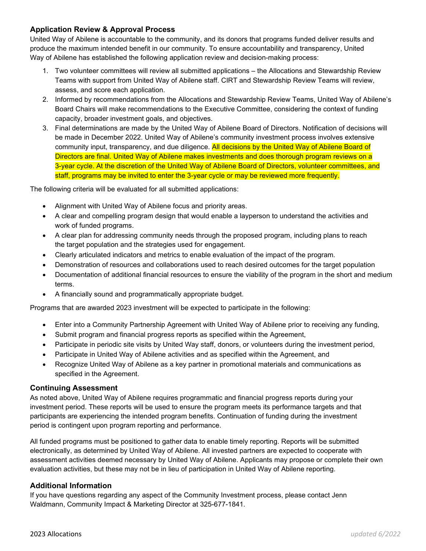### **Application Review & Approval Process**

United Way of Abilene is accountable to the community, and its donors that programs funded deliver results and produce the maximum intended benefit in our community. To ensure accountability and transparency, United Way of Abilene has established the following application review and decision-making process:

- 1. Two volunteer committees will review all submitted applications the Allocations and Stewardship Review Teams with support from United Way of Abilene staff. CIRT and Stewardship Review Teams will review, assess, and score each application.
- 2. Informed by recommendations from the Allocations and Stewardship Review Teams, United Way of Abilene's Board Chairs will make recommendations to the Executive Committee, considering the context of funding capacity, broader investment goals, and objectives.
- 3. Final determinations are made by the United Way of Abilene Board of Directors. Notification of decisions will be made in December 2022. United Way of Abilene's community investment process involves extensive community input, transparency, and due diligence. All decisions by the United Way of Abilene Board of Directors are final. United Way of Abilene makes investments and does thorough program reviews on a 3-year cycle. At the discretion of the United Way of Abilene Board of Directors, volunteer committees, and staff, programs may be invited to enter the 3-year cycle or may be reviewed more frequently.

The following criteria will be evaluated for all submitted applications:

- Alignment with United Way of Abilene focus and priority areas.
- A clear and compelling program design that would enable a layperson to understand the activities and work of funded programs.
- A clear plan for addressing community needs through the proposed program, including plans to reach the target population and the strategies used for engagement.
- Clearly articulated indicators and metrics to enable evaluation of the impact of the program.
- Demonstration of resources and collaborations used to reach desired outcomes for the target population
- Documentation of additional financial resources to ensure the viability of the program in the short and medium terms.
- A financially sound and programmatically appropriate budget.

Programs that are awarded 2023 investment will be expected to participate in the following:

- Enter into a Community Partnership Agreement with United Way of Abilene prior to receiving any funding,
- Submit program and financial progress reports as specified within the Agreement,
- Participate in periodic site visits by United Way staff, donors, or volunteers during the investment period,
- Participate in United Way of Abilene activities and as specified within the Agreement, and
- Recognize United Way of Abilene as a key partner in promotional materials and communications as specified in the Agreement.

#### **Continuing Assessment**

As noted above, United Way of Abilene requires programmatic and financial progress reports during your investment period. These reports will be used to ensure the program meets its performance targets and that participants are experiencing the intended program benefits. Continuation of funding during the investment period is contingent upon program reporting and performance.

All funded programs must be positioned to gather data to enable timely reporting. Reports will be submitted electronically, as determined by United Way of Abilene. All invested partners are expected to cooperate with assessment activities deemed necessary by United Way of Abilene. Applicants may propose or complete their own evaluation activities, but these may not be in lieu of participation in United Way of Abilene reporting.

#### **Additional Information**

If you have questions regarding any aspect of the Community Investment process, please contact Jenn Waldmann, Community Impact & Marketing Director at 325-677-1841.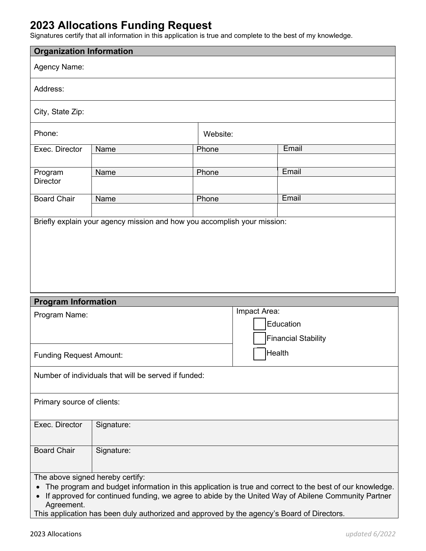# **2023 Allocations Funding Request**

Signatures certify that all information in this application is true and complete to the best of my knowledge.

| <b>Organization Information</b>                                                                                      |            |          |                                                                                                                                                                                                                 |  |  |
|----------------------------------------------------------------------------------------------------------------------|------------|----------|-----------------------------------------------------------------------------------------------------------------------------------------------------------------------------------------------------------------|--|--|
| <b>Agency Name:</b>                                                                                                  |            |          |                                                                                                                                                                                                                 |  |  |
| Address:                                                                                                             |            |          |                                                                                                                                                                                                                 |  |  |
| City, State Zip:                                                                                                     |            |          |                                                                                                                                                                                                                 |  |  |
| Phone:                                                                                                               |            | Website: |                                                                                                                                                                                                                 |  |  |
| Exec. Director                                                                                                       | Name       | Phone    | Email                                                                                                                                                                                                           |  |  |
| Program<br><b>Director</b>                                                                                           | Name       | Phone    | Email                                                                                                                                                                                                           |  |  |
| <b>Board Chair</b>                                                                                                   | Name       | Phone    | Email                                                                                                                                                                                                           |  |  |
|                                                                                                                      |            |          |                                                                                                                                                                                                                 |  |  |
| <b>Program Information</b>                                                                                           |            |          |                                                                                                                                                                                                                 |  |  |
| Impact Area:<br>Program Name:<br>Education<br><b>Financial Stability</b><br>Health<br><b>Funding Request Amount:</b> |            |          |                                                                                                                                                                                                                 |  |  |
| Number of individuals that will be served if funded:                                                                 |            |          |                                                                                                                                                                                                                 |  |  |
| Primary source of clients:                                                                                           |            |          |                                                                                                                                                                                                                 |  |  |
| Exec. Director                                                                                                       | Signature: |          |                                                                                                                                                                                                                 |  |  |
| <b>Board Chair</b>                                                                                                   | Signature: |          |                                                                                                                                                                                                                 |  |  |
| The above signed hereby certify:<br>Agreement.                                                                       |            |          | The program and budget information in this application is true and correct to the best of our knowledge.<br>If approved for continued funding, we agree to abide by the United Way of Abilene Community Partner |  |  |

This application has been duly authorized and approved by the agency's Board of Directors.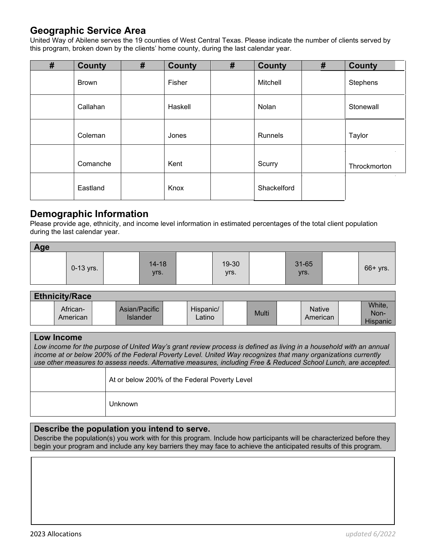### **Geographic Service Area**

United Way of Abilene serves the 19 counties of West Central Texas. Please indicate the number of clients served by this program, broken down by the clients' home county, during the last calendar year.

| $\pmb{\#}$ | <b>County</b> | # | <b>County</b> | # | <b>County</b> | # | <b>County</b> |
|------------|---------------|---|---------------|---|---------------|---|---------------|
|            | <b>Brown</b>  |   | Fisher        |   | Mitchell      |   | Stephens      |
|            | Callahan      |   | Haskell       |   | Nolan         |   | Stonewall     |
|            | Coleman       |   | Jones         |   | Runnels       |   | Taylor        |
|            | Comanche      |   | Kent          |   | Scurry        |   | Throckmorton  |
|            | Eastland      |   | Knox          |   | Shackelford   |   | $\sim$        |

### **Demographic Information**

Please provide age, ethnicity, and income level information in estimated percentages of the total client population during the last calendar year.

| Age |             |  |                   |  |               |  |               |  |            |
|-----|-------------|--|-------------------|--|---------------|--|---------------|--|------------|
|     | $0-13$ yrs. |  | $14 - 18$<br>yrs. |  | 19-30<br>yrs. |  | 31-65<br>Vrs. |  | $66+$ yrs. |

| <b>Ethnicity/Race</b> |                           |                     |       |                           |                            |
|-----------------------|---------------------------|---------------------|-------|---------------------------|----------------------------|
| African-<br>American  | Asian/Pacific<br>Islander | Hispanic/<br>Latino | Multi | <b>Native</b><br>American | White,<br>Non-<br>Hispanic |

#### **Low Income**

Low income for the purpose of United Way's grant review process is defined as living in a household with an annual *income at or below 200% of the Federal Poverty Level. United Way recognizes that many organizations currently use other measures to assess needs. Alternative measures, including Free & Reduced School Lunch, are accepted.*

| At or below 200% of the Federal Poverty Level |
|-----------------------------------------------|
| Unknown                                       |

### **Describe the population you intend to serve.**

Describe the population(s) you work with for this program. Include how participants will be characterized before they begin your program and include any key barriers they may face to achieve the anticipated results of this program.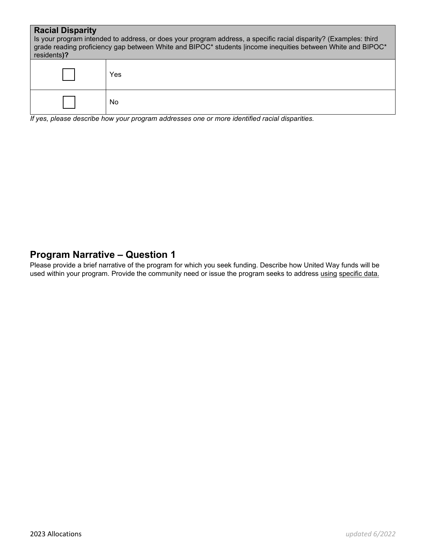| <b>Racial Disparity</b><br>Is your program intended to address, or does your program address, a specific racial disparity? (Examples: third<br>grade reading proficiency gap between White and BIPOC* students lincome inequities between White and BIPOC*<br>residents)? |                                                                                                   |  |  |  |  |
|---------------------------------------------------------------------------------------------------------------------------------------------------------------------------------------------------------------------------------------------------------------------------|---------------------------------------------------------------------------------------------------|--|--|--|--|
|                                                                                                                                                                                                                                                                           | Yes                                                                                               |  |  |  |  |
|                                                                                                                                                                                                                                                                           | No<br>If yoo, places describe how your program addresses and ar mars identified rasial disportive |  |  |  |  |

*If yes, please describe how your program addresses one or more identified racial disparities.*

### **Program Narrative – Question 1**

Please provide a brief narrative of the program for which you seek funding. Describe how United Way funds will be used within your program. Provide the community need or issue the program seeks to address using specific data.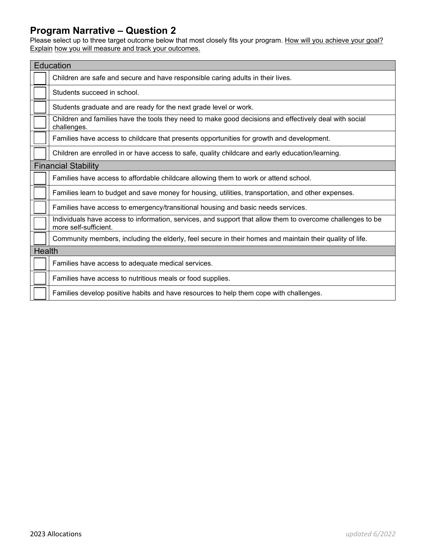### **Program Narrative – Question 2**

Please select up to three target outcome below that most closely fits your program. <u>How will you achieve your goal?</u> Explain how you will measure and track your outcomes.

| Education                                                                                                                           |  |  |  |  |  |
|-------------------------------------------------------------------------------------------------------------------------------------|--|--|--|--|--|
| Children are safe and secure and have responsible caring adults in their lives.                                                     |  |  |  |  |  |
| Students succeed in school.                                                                                                         |  |  |  |  |  |
| Students graduate and are ready for the next grade level or work.                                                                   |  |  |  |  |  |
| Children and families have the tools they need to make good decisions and effectively deal with social<br>challenges.               |  |  |  |  |  |
| Families have access to childcare that presents opportunities for growth and development.                                           |  |  |  |  |  |
| Children are enrolled in or have access to safe, quality childcare and early education/learning.                                    |  |  |  |  |  |
| <b>Financial Stability</b>                                                                                                          |  |  |  |  |  |
| Families have access to affordable childcare allowing them to work or attend school.                                                |  |  |  |  |  |
| Families learn to budget and save money for housing, utilities, transportation, and other expenses.                                 |  |  |  |  |  |
| Families have access to emergency/transitional housing and basic needs services.                                                    |  |  |  |  |  |
| Individuals have access to information, services, and support that allow them to overcome challenges to be<br>more self-sufficient. |  |  |  |  |  |
| Community members, including the elderly, feel secure in their homes and maintain their quality of life.                            |  |  |  |  |  |
| <b>Health</b>                                                                                                                       |  |  |  |  |  |
| Families have access to adequate medical services.                                                                                  |  |  |  |  |  |
| Families have access to nutritious meals or food supplies.                                                                          |  |  |  |  |  |
| Families develop positive habits and have resources to help them cope with challenges.                                              |  |  |  |  |  |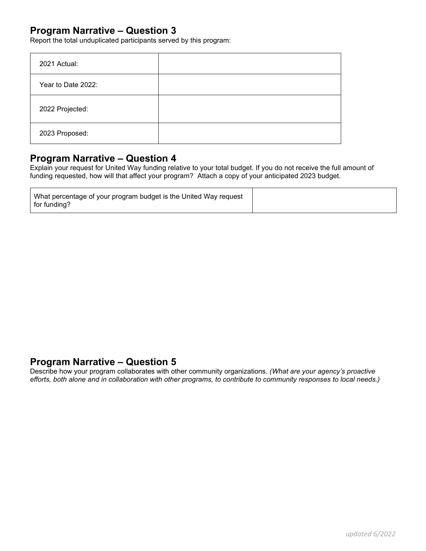### **Program Narrative – Question 3**

Report the total unduplicated participants served by this program:

| 2021 Actual:       |  |
|--------------------|--|
| Year to Date 2022: |  |
| 2022 Projected:    |  |
| 2023 Proposed:     |  |

### **Program Narrative – Question 4**

Explain your request for United Way funding relative to your total budget. If you do not receive the full amount of funding requested, how will that affect your program? Attach a copy of your anticipated 2023 budget.

| What percentage of your program budget is the United Way request |  |
|------------------------------------------------------------------|--|
| for funding?                                                     |  |

### **Program Narrative – Question 5**

Describe how your program collaborates with other community organizations. *(What are your agency's proactive efforts, both alone and in collaboration with other programs, to contribute to community responses to local needs.)*